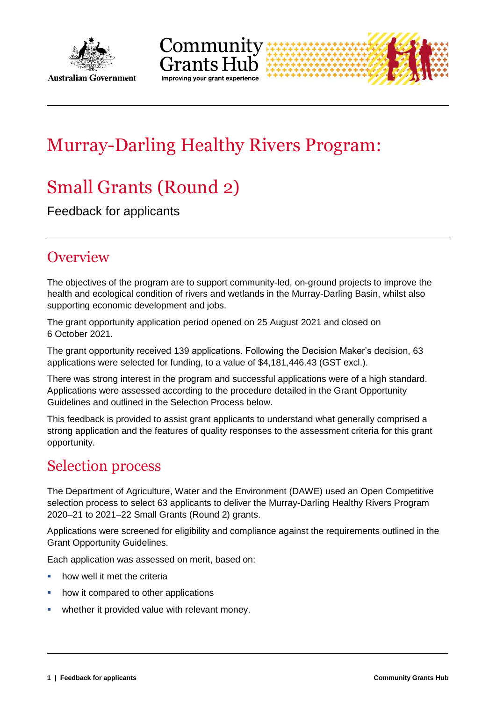

**Australian Government** 





# Murray-Darling Healthy Rivers Program:

# Small Grants (Round 2)

Feedback for applicants

## **Overview**

The objectives of the program are to support community-led, on-ground projects to improve the health and ecological condition of rivers and wetlands in the Murray-Darling Basin, whilst also supporting economic development and jobs.

The grant opportunity application period opened on 25 August 2021 and closed on 6 October 2021.

The grant opportunity received 139 applications. Following the Decision Maker's decision, 63 applications were selected for funding, to a value of \$4,181,446.43 (GST excl.).

There was strong interest in the program and successful applications were of a high standard. Applications were assessed according to the procedure detailed in the Grant Opportunity Guidelines and outlined in the Selection Process below.

This feedback is provided to assist grant applicants to understand what generally comprised a strong application and the features of quality responses to the assessment criteria for this grant opportunity.

## Selection process

The Department of Agriculture, Water and the Environment (DAWE) used an Open Competitive selection process to select 63 applicants to deliver the Murray-Darling Healthy Rivers Program 2020–21 to 2021–22 Small Grants (Round 2) grants.

Applications were screened for eligibility and compliance against the requirements outlined in the Grant Opportunity Guidelines.

Each application was assessed on merit, based on:

- how well it met the criteria
- how it compared to other applications
- **•** whether it provided value with relevant money.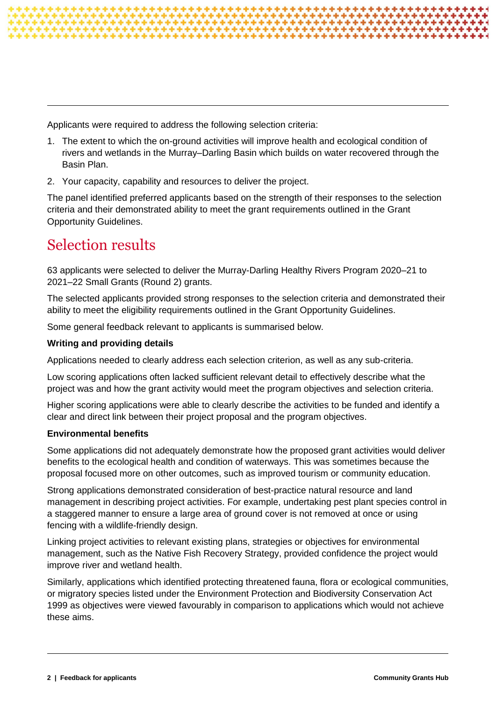

Applicants were required to address the following selection criteria:

- 1. The extent to which the on-ground activities will improve health and ecological condition of rivers and wetlands in the Murray–Darling Basin which builds on water recovered through the Basin Plan.
- 2. Your capacity, capability and resources to deliver the project.

The panel identified preferred applicants based on the strength of their responses to the selection criteria and their demonstrated ability to meet the grant requirements outlined in the Grant Opportunity Guidelines.

## Selection results

63 applicants were selected to deliver the Murray-Darling Healthy Rivers Program 2020–21 to 2021–22 Small Grants (Round 2) grants.

The selected applicants provided strong responses to the selection criteria and demonstrated their ability to meet the eligibility requirements outlined in the Grant Opportunity Guidelines.

Some general feedback relevant to applicants is summarised below.

#### **Writing and providing details**

Applications needed to clearly address each selection criterion, as well as any sub-criteria.

Low scoring applications often lacked sufficient relevant detail to effectively describe what the project was and how the grant activity would meet the program objectives and selection criteria.

Higher scoring applications were able to clearly describe the activities to be funded and identify a clear and direct link between their project proposal and the program objectives.

#### **Environmental benefits**

Some applications did not adequately demonstrate how the proposed grant activities would deliver benefits to the ecological health and condition of waterways. This was sometimes because the proposal focused more on other outcomes, such as improved tourism or community education.

Strong applications demonstrated consideration of best-practice natural resource and land management in describing project activities. For example, undertaking pest plant species control in a staggered manner to ensure a large area of ground cover is not removed at once or using fencing with a wildlife-friendly design.

Linking project activities to relevant existing plans, strategies or objectives for environmental management, such as the Native Fish Recovery Strategy, provided confidence the project would improve river and wetland health.

Similarly, applications which identified protecting threatened fauna, flora or ecological communities, or migratory species listed under the Environment Protection and Biodiversity Conservation Act 1999 as objectives were viewed favourably in comparison to applications which would not achieve these aims.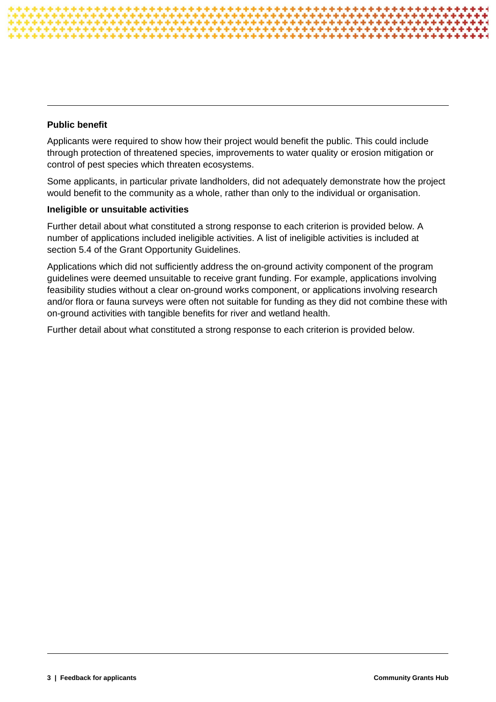#### **Public benefit**

Applicants were required to show how their project would benefit the public. This could include through protection of threatened species, improvements to water quality or erosion mitigation or control of pest species which threaten ecosystems.

Some applicants, in particular private landholders, did not adequately demonstrate how the project would benefit to the community as a whole, rather than only to the individual or organisation.

#### **Ineligible or unsuitable activities**

Further detail about what constituted a strong response to each criterion is provided below. A number of applications included ineligible activities. A list of ineligible activities is included at section 5.4 of the Grant Opportunity Guidelines.

Applications which did not sufficiently address the on-ground activity component of the program guidelines were deemed unsuitable to receive grant funding. For example, applications involving feasibility studies without a clear on-ground works component, or applications involving research and/or flora or fauna surveys were often not suitable for funding as they did not combine these with on-ground activities with tangible benefits for river and wetland health.

Further detail about what constituted a strong response to each criterion is provided below.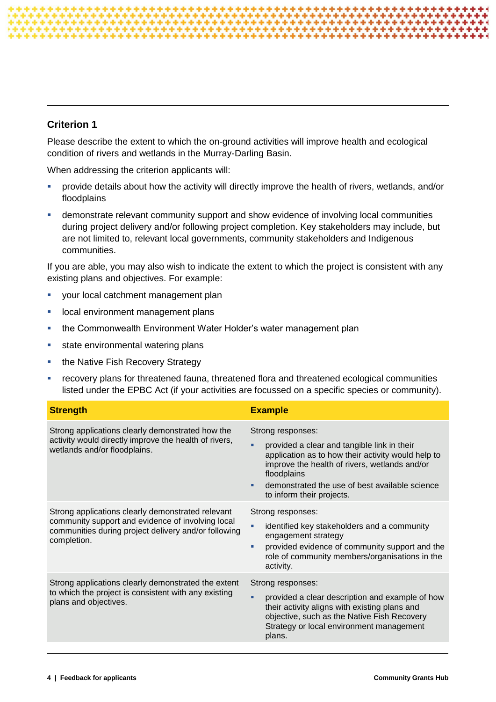### **Criterion 1**

Please describe the extent to which the on-ground activities will improve health and ecological condition of rivers and wetlands in the Murray-Darling Basin.

When addressing the criterion applicants will:

- provide details about how the activity will directly improve the health of rivers, wetlands, and/or floodplains
- demonstrate relevant community support and show evidence of involving local communities during project delivery and/or following project completion. Key stakeholders may include, but are not limited to, relevant local governments, community stakeholders and Indigenous communities.

If you are able, you may also wish to indicate the extent to which the project is consistent with any existing plans and objectives. For example:

- vour local catchment management plan
- **lace in an interest in the case of the land vertex less** in the local environment plans
- **EXEDER** the Commonwealth Environment Water Holder's water management plan
- state environmental watering plans
- the Native Fish Recovery Strategy
- recovery plans for threatened fauna, threatened flora and threatened ecological communities listed under the EPBC Act (if your activities are focussed on a specific species or community).

| <b>Strength</b>                                                                                                                                                               | <b>Example</b>                                                                                                                                                                                                                                                        |
|-------------------------------------------------------------------------------------------------------------------------------------------------------------------------------|-----------------------------------------------------------------------------------------------------------------------------------------------------------------------------------------------------------------------------------------------------------------------|
| Strong applications clearly demonstrated how the<br>activity would directly improve the health of rivers,<br>wetlands and/or floodplains.                                     | Strong responses:<br>provided a clear and tangible link in their<br>application as to how their activity would help to<br>improve the health of rivers, wetlands and/or<br>floodplains<br>demonstrated the use of best available science<br>to inform their projects. |
| Strong applications clearly demonstrated relevant<br>community support and evidence of involving local<br>communities during project delivery and/or following<br>completion. | Strong responses:<br>identified key stakeholders and a community<br>٠<br>engagement strategy<br>provided evidence of community support and the<br>٠<br>role of community members/organisations in the<br>activity.                                                    |
| Strong applications clearly demonstrated the extent<br>to which the project is consistent with any existing<br>plans and objectives.                                          | Strong responses:<br>provided a clear description and example of how<br>٠<br>their activity aligns with existing plans and<br>objective, such as the Native Fish Recovery<br>Strategy or local environment management<br>plans.                                       |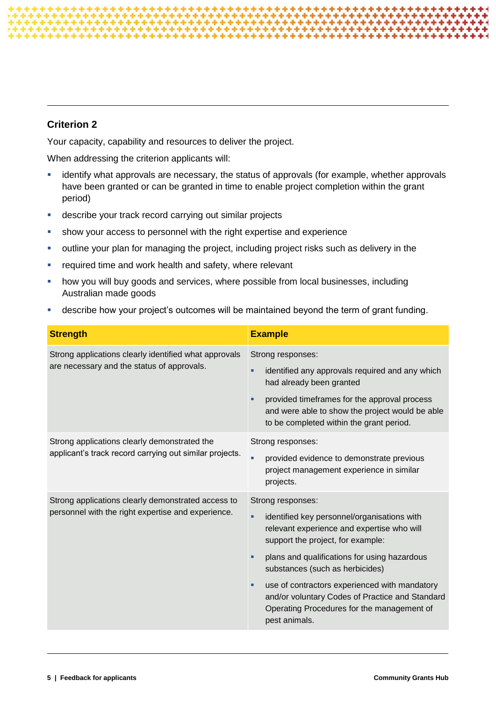### **Criterion 2**

Your capacity, capability and resources to deliver the project.

When addressing the criterion applicants will:

- **EXT** identify what approvals are necessary, the status of approvals (for example, whether approvals have been granted or can be granted in time to enable project completion within the grant period)
- describe your track record carrying out similar projects
- show your access to personnel with the right expertise and experience
- outline your plan for managing the project, including project risks such as delivery in the
- **F** required time and work health and safety, where relevant
- how you will buy goods and services, where possible from local businesses, including Australian made goods
- describe how your project's outcomes will be maintained beyond the term of grant funding.

| <b>Strength</b>                                                                                          | <b>Example</b>                                                                                                                                                                                                                                                                                                                                                                                                           |
|----------------------------------------------------------------------------------------------------------|--------------------------------------------------------------------------------------------------------------------------------------------------------------------------------------------------------------------------------------------------------------------------------------------------------------------------------------------------------------------------------------------------------------------------|
| Strong applications clearly identified what approvals<br>are necessary and the status of approvals.      | Strong responses:<br>identified any approvals required and any which<br>had already been granted<br>provided timeframes for the approval process<br>٠<br>and were able to show the project would be able<br>to be completed within the grant period.                                                                                                                                                                     |
| Strong applications clearly demonstrated the<br>applicant's track record carrying out similar projects.  | Strong responses:<br>provided evidence to demonstrate previous<br>٠<br>project management experience in similar<br>projects.                                                                                                                                                                                                                                                                                             |
| Strong applications clearly demonstrated access to<br>personnel with the right expertise and experience. | Strong responses:<br>identified key personnel/organisations with<br>٠<br>relevant experience and expertise who will<br>support the project, for example:<br>plans and qualifications for using hazardous<br>٠<br>substances (such as herbicides)<br>use of contractors experienced with mandatory<br>٠<br>and/or voluntary Codes of Practice and Standard<br>Operating Procedures for the management of<br>pest animals. |